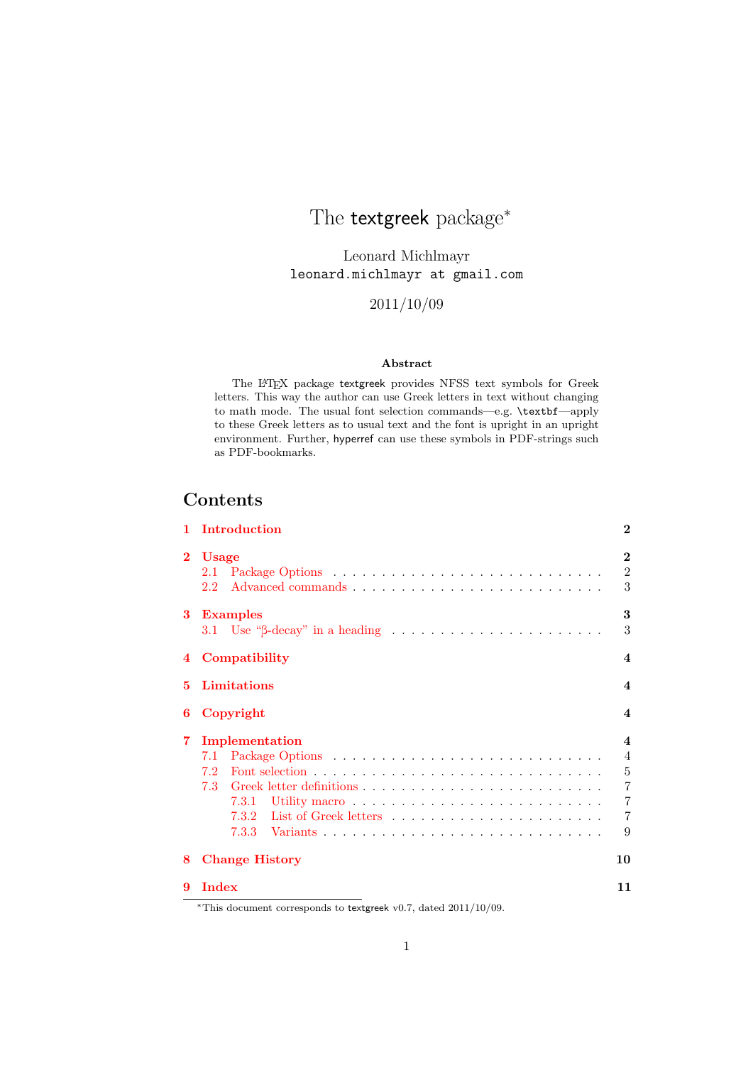# <span id="page-0-0"></span>The **textgreek** package<sup>\*</sup>

Leonard Michlmayr leonard.michlmayr at gmail.com

2011/10/09

#### Abstract

The LATEX package textgreek provides NFSS text symbols for Greek letters. This way the author can use Greek letters in text without changing to math mode. The usual font selection commands—e.g. \textbf—apply to these Greek letters as to usual text and the font is upright in an upright environment. Further, hyperref can use these symbols in PDF-strings such as PDF-bookmarks.

### **Contents**

|          | Introduction                                                                                                                                                                                                                                                                                                                       | $\bf{2}$                                                                                                        |  |
|----------|------------------------------------------------------------------------------------------------------------------------------------------------------------------------------------------------------------------------------------------------------------------------------------------------------------------------------------|-----------------------------------------------------------------------------------------------------------------|--|
| $\bf{2}$ | <b>Usage</b><br>$2.2^{\circ}$                                                                                                                                                                                                                                                                                                      | $\mathbf{2}$<br>$\overline{2}$<br>3                                                                             |  |
| 3        | <b>Examples</b>                                                                                                                                                                                                                                                                                                                    | 3<br>3                                                                                                          |  |
| 4        | Compatibility<br>$\boldsymbol{4}$                                                                                                                                                                                                                                                                                                  |                                                                                                                 |  |
| 5.       | Limitations                                                                                                                                                                                                                                                                                                                        | $\boldsymbol{4}$                                                                                                |  |
| 6        | Copyright                                                                                                                                                                                                                                                                                                                          |                                                                                                                 |  |
| 7        | Implementation<br>7.2<br>7.3                                                                                                                                                                                                                                                                                                       | $\boldsymbol{4}$<br>$\overline{4}$<br>$\overline{5}$<br>$\overline{7}$<br>$\overline{7}$<br>$\overline{7}$<br>9 |  |
| 8        | <b>Change History</b>                                                                                                                                                                                                                                                                                                              | 10                                                                                                              |  |
| 9        | Index<br>$*$ m <sup>1</sup> : 1 $\frac{1}{2}$ 1 $\frac{1}{2}$ 1 $\frac{1}{2}$ 1 $\frac{1}{2}$ 1 $\frac{1}{2}$ 1 $\frac{1}{2}$ 1 $\frac{1}{2}$ 1 $\frac{1}{2}$ 1 $\frac{1}{2}$ $\frac{1}{2}$ $\frac{1}{2}$ $\frac{1}{2}$ $\frac{1}{2}$ $\frac{1}{2}$ $\frac{1}{2}$ $\frac{1}{2}$ $\frac{1}{2}$ $\frac{1}{2}$ $\frac{1}{2}$ $\frac{$ | 11                                                                                                              |  |

<sup>∗</sup>This document corresponds to textgreek v0.7, dated 2011/10/09.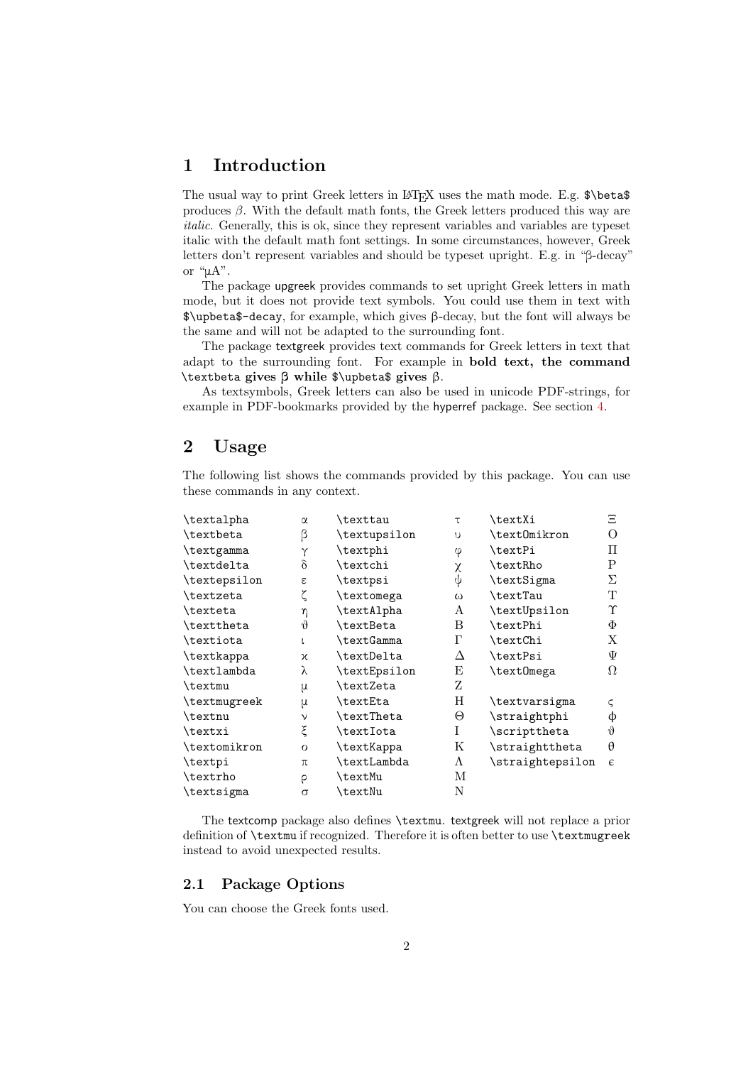### <span id="page-1-0"></span>1 Introduction

The usual way to print Greek letters in LAT<sub>EX</sub> uses the math mode. E.g.  $\beta$  beta  $\beta$ produces  $\beta$ . With the default math fonts, the Greek letters produced this way are italic. Generally, this is ok, since they represent variables and variables are typeset italic with the default math font settings. In some circumstances, however, Greek letters don't represent variables and should be typeset upright. E.g. in "β-decay" or "μA".

The package upgreek provides commands to set upright Greek letters in math mode, but it does not provide text symbols. You could use them in text with \$\upbeta\$-decay, for example, which gives β-decay, but the font will always be the same and will not be adapted to the surrounding font.

The package textgreek provides text commands for Greek letters in text that adapt to the surrounding font. For example in bold text, the command \textbeta gives β while \$\upbeta\$ gives β.

As textsymbols, Greek letters can also be used in unicode PDF-strings, for example in PDF-bookmarks provided by the hyperref package. See section [4.](#page-3-0)

### <span id="page-1-1"></span>2 Usage

The following list shows the commands provided by this package. You can use these commands in any context.

| \textalpha   | $\alpha$    | \texttau          | τ        | \textXi          | Ξ          |
|--------------|-------------|-------------------|----------|------------------|------------|
| \textbeta    | β           | \textupsilon      | υ        | \text0mikron     | O          |
| \textgamma   | Υ           | \textphi          | φ        | \textPi          | П          |
| \textdelta   | $\delta$    | \textchi          | χ        | \textRho         | P          |
| \textepsilon | ε           | \textpsi          | ψ        | \textSigma       | Σ          |
| \textzeta    |             | \textomega        | $\omega$ | \textTau         | T          |
| \texteta     | η           | \textAlpha        | A        | \textUpsilon     | Υ          |
| \texttheta   | $\vartheta$ | \textBeta         | B        | \textPhi         | Φ          |
| \textiota    |             | <b>\textGamma</b> | Г        | \textChi         | Х          |
| \textkappa   | χ           | \textDelta        | Δ        | \textPsi         | Ψ          |
| \textlambda  | λ           | \textEpsilon      | E        | \text0mega       | Ω          |
| \textmu      | μ           | \textZeta         | Z        |                  |            |
| \textmugreek | μ           | \textEta          | Η        | \textvarsigma    | $\subset$  |
| \textnu      | ν           | \textTheta        | Θ        | \straightphi     | φ          |
| \textxi      | ξ           | \textIota         | T        | \scripttheta     | $\theta$   |
| \textomikron | $\Omega$    | \textKappa        | Κ        | \straighttheta   | θ          |
| \textpi      | π           | \textLambda       | A        | \straightepsilon | $\epsilon$ |
| \textrho     | ρ           | \textMu           | М        |                  |            |
| \textsigma   | $\sigma$    | \textNu           | Ν        |                  |            |

The textcomp package also defines \textmu. textgreek will not replace a prior definition of \textmu if recognized. Therefore it is often better to use \textmugreek instead to avoid unexpected results.

#### <span id="page-1-2"></span>2.1 Package Options

You can choose the Greek fonts used.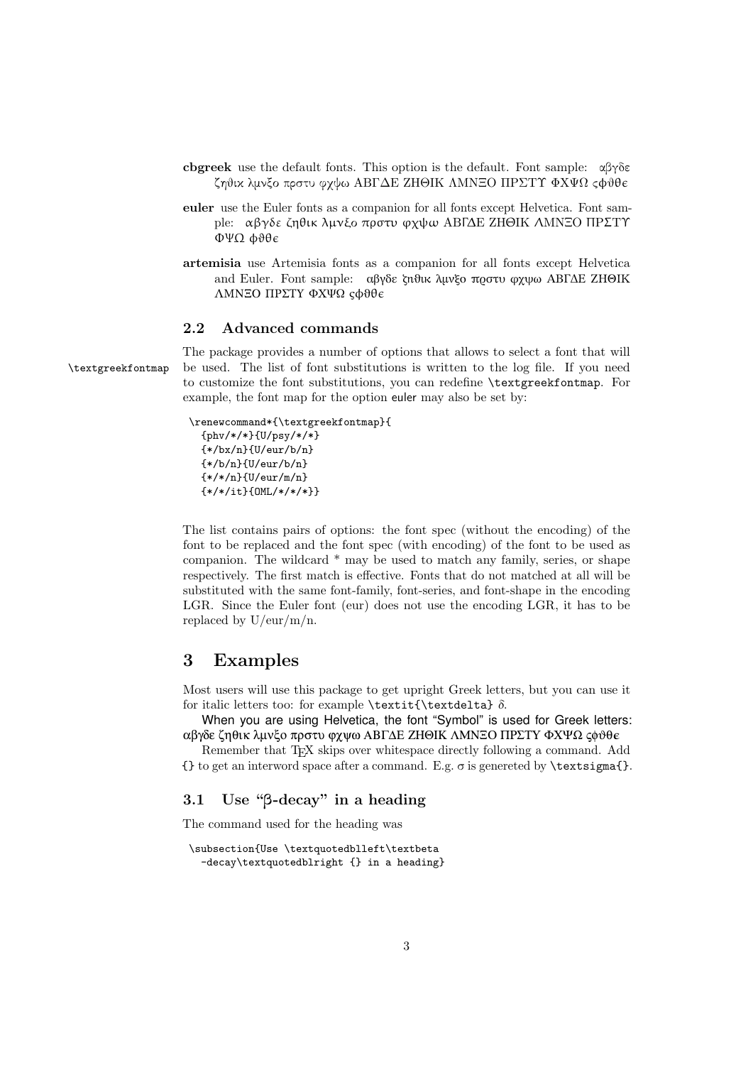- cbgreek use the default fonts. This option is the default. Font sample: αβγδε ζηθικ λμνξο πρστυ φχψω ΑΒΓΔΕ ΖΗΘΙΚ ΛΜΝΞΟ ΠΡΣΤΥ ΦΧΨΩ ςφθθ
- euler use the Euler fonts as a companion for all fonts except Helvetica. Font sample: αβγδε ζηθικ λµνξο πρστυ ϕχψω ΑΒΓ∆Ε ΖΗΘΙΚ ΛΜΝΞΟ ΠΡΣΤΥ ΦΨΩ φϑθ
- artemisia use Artemisia fonts as a companion for all fonts except Helvetica and Euler. Font sample: αβγδε ζηθικ λμνξο πρστυ φχψω ΑΒΓΔΕ ΖΗΘΙΚ ΛΜΝΞΟ ΠΡΣΤΥ ΦΧΨΩ ςφϑθ

#### <span id="page-2-0"></span>2.2 Advanced commands

The package provides a number of options that allows to select a font that will \textgreekfontmap be used. The list of font substitutions is written to the log file. If you need to customize the font substitutions, you can redefine \textgreekfontmap. For example, the font map for the option euler may also be set by:

```
\renewcommand*{\textgreekfontmap}{
  {phv/*/*}{U/psy/*/*}
  {*/bx/n}{U/eur/b/n}
  {*/b/n}{U/eur/b/n}
  {*/*/n}{U/eur/m/n}
  {*/*/it}{OML/*/*/*}}
```
The list contains pairs of options: the font spec (without the encoding) of the font to be replaced and the font spec (with encoding) of the font to be used as companion. The wildcard \* may be used to match any family, series, or shape respectively. The first match is effective. Fonts that do not matched at all will be substituted with the same font-family, font-series, and font-shape in the encoding LGR. Since the Euler font (eur) does not use the encoding LGR, it has to be replaced by  $U/eur/m/n$ .

### <span id="page-2-1"></span>3 Examples

Most users will use this package to get upright Greek letters, but you can use it for italic letters too: for example \textit{\textdelta} δ.

When you are using Helvetica, the font "Symbol" is used for Greek letters: αβγδε ζηθικ λμνξο πρστυ φχψω ΑΒΓΔΕ ΖΗΘΙΚ ΛΜΝΞΟ ΠΡΣΤΥ ΦΧΨΩ ςφθθε

Remember that T<sub>F</sub>X skips over whitespace directly following a command. Add  $\{ \}$  to get an interword space after a command. E.g.  $\sigma$  is genereted by **\textsigma{}.** 

#### <span id="page-2-2"></span>3.1 Use "β-decay" in a heading

The command used for the heading was

```
\subsection{Use \textquotedblleft\textbeta
  -decay\textquotedblright {} in a heading}
```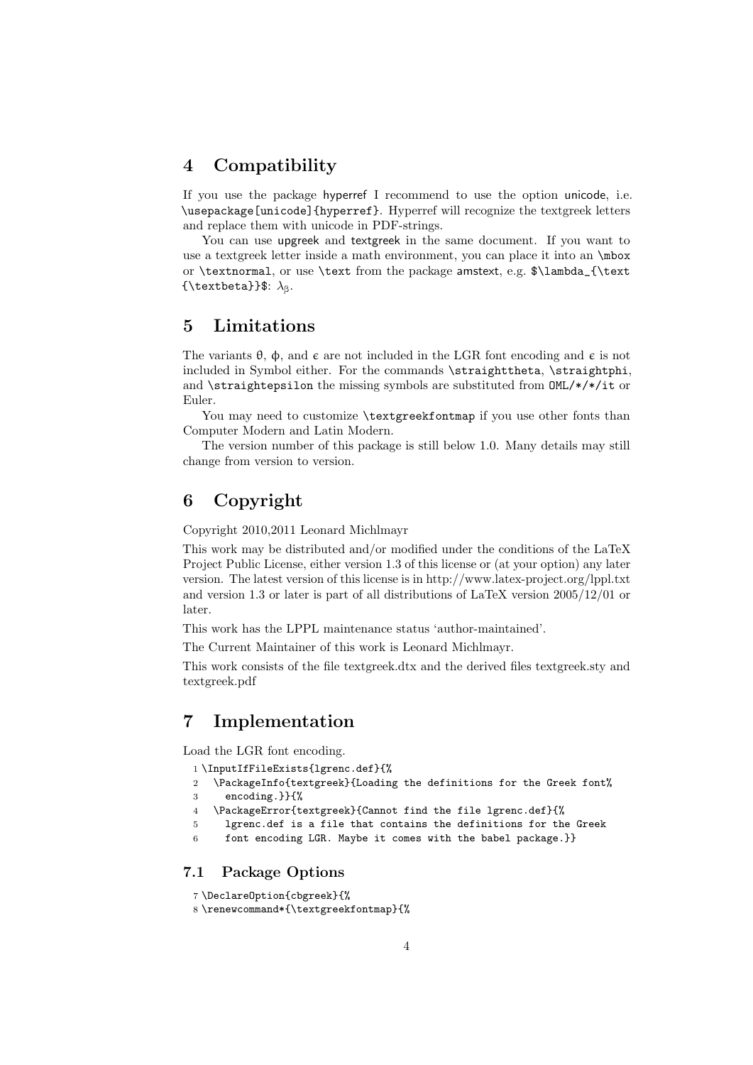### <span id="page-3-0"></span>4 Compatibility

If you use the package hyperref I recommend to use the option unicode, i.e. \usepackage[unicode]{hyperref}. Hyperref will recognize the textgreek letters and replace them with unicode in PDF-strings.

You can use upgreek and textgreek in the same document. If you want to use a textgreek letter inside a math environment, you can place it into an \mbox or \textnormal, or use \text from the package amstext, e.g. \$\lambda\_{\text {\textbeta}}\$:  $\lambda_{\beta}$ .

### <span id="page-3-1"></span>5 Limitations

The variants  $\theta$ ,  $\phi$ , and  $\epsilon$  are not included in the LGR font encoding and  $\epsilon$  is not included in Symbol either. For the commands \straighttheta, \straightphi, and  $\star$  is traightepsilon the missing symbols are substituted from  $OML/*/*/it$  or Euler.

You may need to customize *\textgreekfontmap* if you use other fonts than Computer Modern and Latin Modern.

The version number of this package is still below 1.0. Many details may still change from version to version.

### <span id="page-3-2"></span>6 Copyright

Copyright 2010,2011 Leonard Michlmayr

This work may be distributed and/or modified under the conditions of the LaTeX Project Public License, either version 1.3 of this license or (at your option) any later version. The latest version of this license is in http://www.latex-project.org/lppl.txt and version 1.3 or later is part of all distributions of LaTeX version 2005/12/01 or later.

This work has the LPPL maintenance status 'author-maintained'.

The Current Maintainer of this work is Leonard Michlmayr.

This work consists of the file textgreek.dtx and the derived files textgreek.sty and textgreek.pdf

### <span id="page-3-3"></span>7 Implementation

Load the LGR font encoding.

- <span id="page-3-5"></span>1 \InputIfFileExists{lgrenc.def}{%
- <span id="page-3-6"></span>2 \PackageInfo{textgreek}{Loading the definitions for the Greek font%
- 3 encoding.}}{%
- 4 \PackageError{textgreek}{Cannot find the file lgrenc.def}{%
- 5 lgrenc.def is a file that contains the definitions for the Greek
- 6 font encoding LGR. Maybe it comes with the babel package.}}

#### <span id="page-3-4"></span>7.1 Package Options

- 7 \DeclareOption{cbgreek}{%
- <span id="page-3-7"></span>8 \renewcommand\*{\textgreekfontmap}{%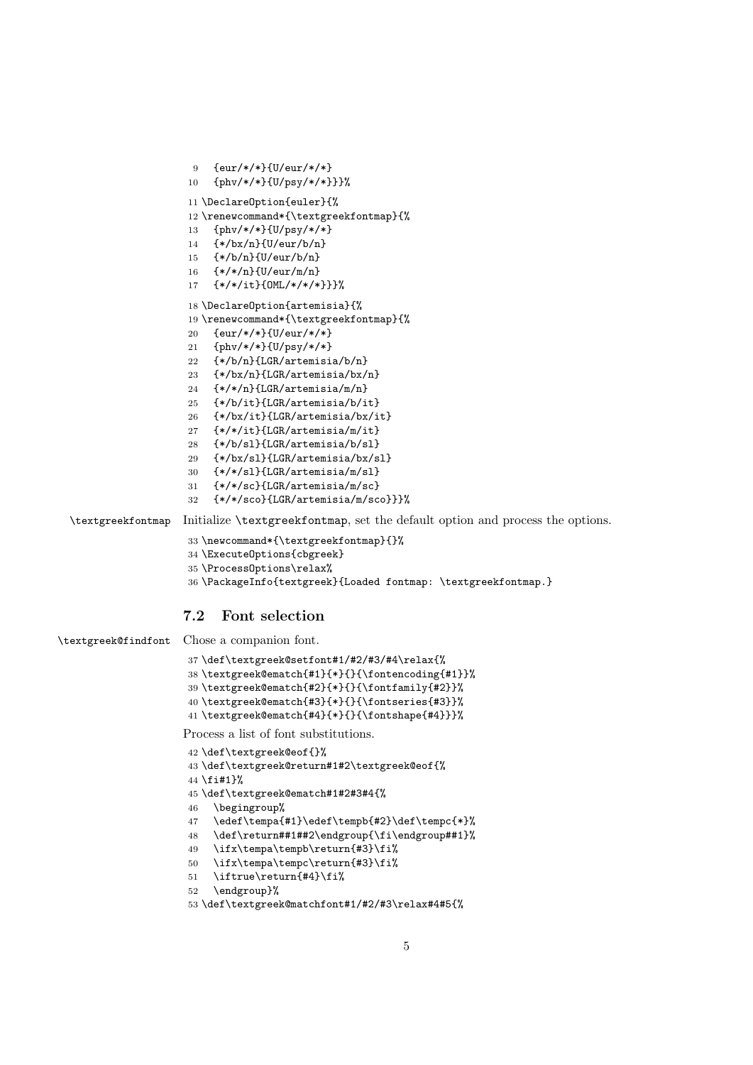```
9 {eur/*/*}{U/eur/*/*}
10 {phv/*/*}{U/psy/*/*}}}%
11 \DeclareOption{euler}{%
12 \renewcommand*{\textgreekfontmap}{%
13 {phv/*/*}{U/psy/*/*}
14 {*/bx/n}{U/eur/b/n}
15 {*/b/n}{U/eur/b/n}
16 {*/*/n}{U/eur/m/n}
17 {*/*/it}{OML/*/*/*}}}%
18 \DeclareOption{artemisia}{%
19 \renewcommand*{\textgreekfontmap}{%
20 {eur/*/*}{U/eur/*/*}
21 {phv/*/*}{U/psy/*/*}
22 {*/b/n}{LGR/artemisia/b/n}
23 {*/bx/n}{LGR/artemisia/bx/n}
24 {*/*/n}{LGR/artemisia/m/n}
25 {*/b/it}{LGR/artemisia/b/it}
26 {*/bx/it}{LGR/artemisia/bx/it}
27 {*/*/it}{LGR/artemisia/m/it}
28 {*/b/sl}{LGR/artemisia/b/sl}
29 {*/bx/sl}{LGR/artemisia/bx/sl}
30 {*/*/sl}{LGR/artemisia/m/sl}
31 {*/*/sc}{LGR/artemisia/m/sc}
32 {*/*/sco}{LGR/artemisia/m/sco}}}%
```
<span id="page-4-19"></span>\textgreekfontmap Initialize \textgreekfontmap, set the default option and process the options.

```
33 \newcommand*{\textgreekfontmap}{}%
```

```
34 \ExecuteOptions{cbgreek}
```

```
35 \ProcessOptions\relax%
```
<span id="page-4-4"></span>\PackageInfo{textgreek}{Loaded fontmap: \textgreekfontmap.}

#### <span id="page-4-0"></span>7.2 Font selection

<span id="page-4-14"></span>\textgreek@findfont Chose a companion font.

```
37 \def\textgreek@setfont#1/#2/#3/#4\relax{%
38 \textgreek@ematch{#1}{*}{}{\fontencoding{#1}}%
39 \textgreek@ematch{#2}{*}{}{\fontfamily{#2}}%
40 \textgreek@ematch{#3}{*}{}{\fontseries{#3}}%
41 \textgreek@ematch{#4}{*}{}{\fontshape{#4}}}%
```
<span id="page-4-10"></span><span id="page-4-3"></span>Process a list of font substitutions.

```
42 \def\textgreek@eof{}%
43 \def\textgreek@return#1#2\textgreek@eof{%
44 \fi#1}%
45 \def\textgreek@ematch#1#2#3#4{%
46 \begingroup%
47 \edef\tempa{#1}\edef\tempb{#2}\def\tempc{*}%
48 \def\return##1##2\endgroup{\fi\endgroup##1}%
49 \ifx\tempa\tempb\return{#3}\fi%
50 \ifx\tempa\tempc\return{#3}\fi%
51 \iftrue\return{#4}\fi%
```

```
52 \endgroup}%
```

```
53 \def\textgreek@matchfont#1/#2/#3\relax#4#5{%
```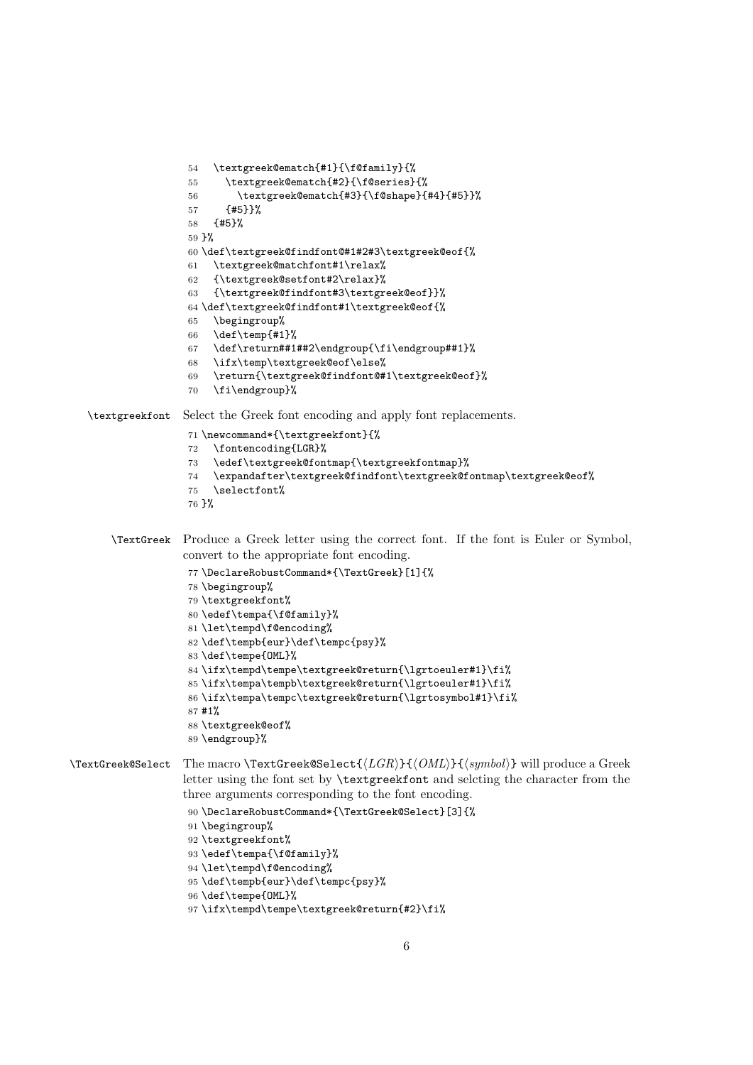```
54 \textgreek@ematch{#1}{\f@family}{%
                    55 \textgreek@ematch{#2}{\f@series}{%
                    56 \textgreek@ematch{#3}{\f@shape}{#4}{#5}}%
                    57 {#5}}%
                    58 {#5}%
                    59 }%
                    60 \def\textgreek@findfont@#1#2#3\textgreek@eof{%
                    61 \textgreek@matchfont#1\relax%
                    62 {\textgreek@setfont#2\relax}%
                    63 {\textgreek@findfont#3\textgreek@eof}}%
                    64 \def\textgreek@findfont#1\textgreek@eof{%
                    65 \begingroup%
                    66 \def\temp{#1}%
                    67 \def\return##1##2\endgroup{\fi\endgroup##1}%
                    68 \ifx\temp\textgreek@eof\else%
                    69 \return{\textgreek@findfont@#1\textgreek@eof}%
                    70 \fi\endgroup}%
  \textgreekfont Select the Greek font encoding and apply font replacements.
                    71 \newcommand*{\textgreekfont}{%
                    72 \fontencoding{LGR}%
                    73 \edef\textgreek@fontmap{\textgreekfontmap}%
                    74 \expandafter\textgreek@findfont\textgreek@fontmap\textgreek@eof%
                    75 \selectfont%
                    76 }%
      \TextGreek Produce a Greek letter using the correct font. If the font is Euler or Symbol,
                   convert to the appropriate font encoding.
                    77 \DeclareRobustCommand*{\TextGreek}[1]{%
                    78 \begingroup%
                    79 \textgreekfont%
                    80 \edef\tempa{\f@family}%
                    81 \let\tempd\f@encoding%
                    82 \def\tempb{eur}\def\tempc{psy}%
                    83 \def\tempe{OML}%
                    84 \ifx\tempd\tempe\textgreek@return{\lgrtoeuler#1}\fi%
                    85 \ifx\tempa\tempb\textgreek@return{\lgrtoeuler#1}\fi%
                    86 \ifx\tempa\tempc\textgreek@return{\lgrtosymbol#1}\fi%
                    87 #1%
                    88 \textgreek@eof%
                    89 \endgroup}%
\TextGreek@Select The macro \TextGreek@Select\{\langle LGR \rangle\}\{\langle OML \rangle\}\{\langle symbol \rangle\} will produce a Greek
                   letter using the font set by \textgreekfont and selcting the character from the
                   three arguments corresponding to the font encoding.
                    90 \DeclareRobustCommand*{\TextGreek@Select}[3]{%
                    91 \begingroup%
                    92 \textgreekfont%
                    93 \edef\tempa{\f@family}%
                    94 \let\tempd\f@encoding%
                    95 \def\tempb{eur}\def\tempc{psy}%
                    96 \def\tempe{OML}%
                    97 \ifx\tempd\tempe\textgreek@return{#2}\fi%
```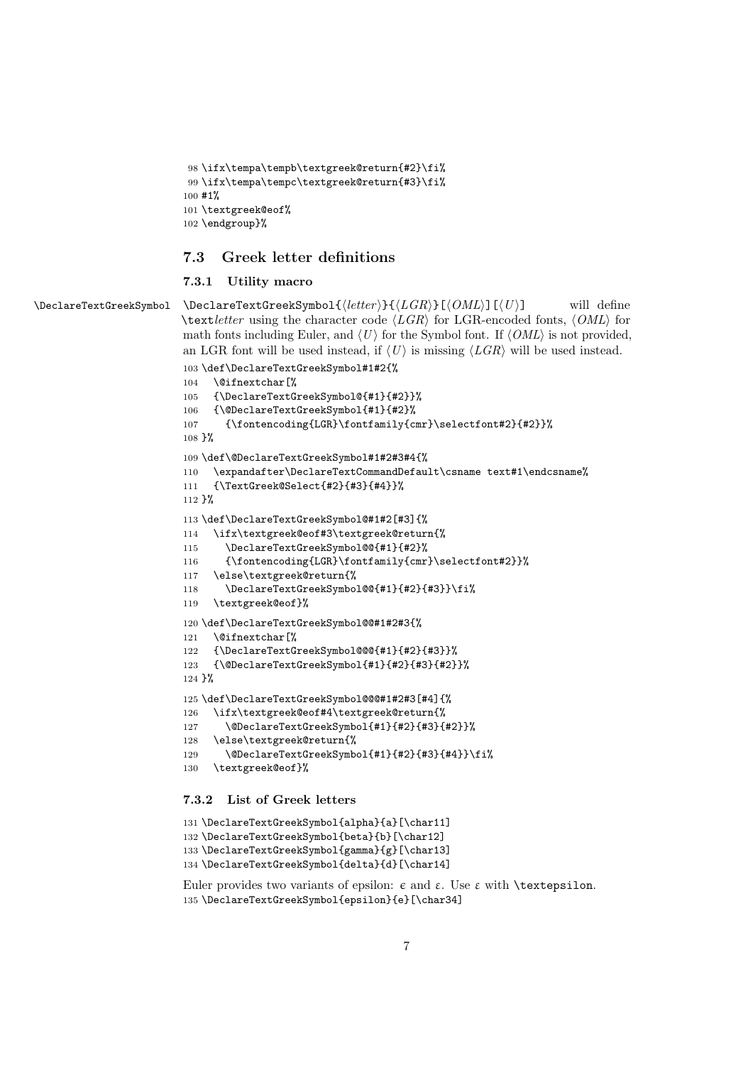```
98 \ifx\tempa\tempb\textgreek@return{#2}\fi%
99 \ifx\tempa\tempc\textgreek@return{#3}\fi%
100 #1%
101 \textgreek@eof%
102 \endgroup}%
```
#### <span id="page-6-0"></span>7.3 Greek letter definitions

#### <span id="page-6-35"></span><span id="page-6-27"></span><span id="page-6-24"></span><span id="page-6-19"></span><span id="page-6-18"></span><span id="page-6-17"></span><span id="page-6-9"></span><span id="page-6-5"></span><span id="page-6-4"></span><span id="page-6-1"></span>7.3.1 Utility macro

```
\Delta \Delta \text{TestGreekSymbol} \Delta \text{TreekSymbol} \{ \text{leter} \} \{ \text{lGR} \}[\{ \text{OML} \}][\{ U \}] will define
                          \text{text} letter using the character code \langle LGR \rangle for LGR-encoded fonts, \langle OML \rangle for
                           math fonts including Euler, and \langle U \rangle for the Symbol font. If \langle OML \rangle is not provided,
                           an LGR font will be used instead, if \langle U \rangle is missing \langle LGR \rangle will be used instead.
                           103 \def\DeclareTextGreekSymbol#1#2{%
                           104 \@ifnextchar[%
                           105 {\DeclareTextGreekSymbol@{#1}{#2}}%
                           106 {\@DeclareTextGreekSymbol{#1}{#2}%
                           107 {\fontencoding{LGR}\fontfamily{cmr}\selectfont#2}{#2}}%
                           108 }%
                           109 \def\@DeclareTextGreekSymbol#1#2#3#4{%
                           110 \expandafter\DeclareTextCommandDefault\csname text#1\endcsname%
                           111 {\TextGreek@Select{#2}{#3}{#4}}%
                           112 }%
                           113 \def\DeclareTextGreekSymbol@#1#2[#3]{%
                           114 \ifx\textgreek@eof#3\textgreek@return{%
                           115 \DeclareTextGreekSymbol@@{#1}{#2}%
                           116 {\fontencoding{LGR}\fontfamily{cmr}\selectfont#2}}%
                           117 \else\textgreek@return{%
                           118 \DeclareTextGreekSymbol@@{#1}{#2}{#3}}\fi%
                           119 \textgreek@eof}%
                           120 \def\DeclareTextGreekSymbol@@#1#2#3{%
                           121 \@ifnextchar[%
                           122 {\DeclareTextGreekSymbol@@@{#1}{#2}{#3}}%
                           123 {\@DeclareTextGreekSymbol{#1}{#2}{#3}{#2}}%
                           124 }%
                           125 \def\DeclareTextGreekSymbol@@@#1#2#3[#4]{%
                           126 \ifx\textgreek@eof#4\textgreek@return{%
                           127 \@DeclareTextGreekSymbol{#1}{#2}{#3}{#2}}%
                           128 \else\textgreek@return{%
                           129 \@DeclareTextGreekSymbol{#1}{#2}{#3}{#4}}\fi%
                           130 \textgreek@eof}%
                           7.3.2 List of Greek letters
```

```
131 \DeclareTextGreekSymbol{alpha}{a}[\char11]
132 \DeclareTextGreekSymbol{beta}{b}[\char12]
133 \DeclareTextGreekSymbol{gamma}{g}[\char13]
134 \DeclareTextGreekSymbol{delta}{d}[\char14]
```

```
Euler provides two variants of epsilon: ε and ε. Use ε with \textepsilon.
135 \DeclareTextGreekSymbol{epsilon}{e}[\char34]
```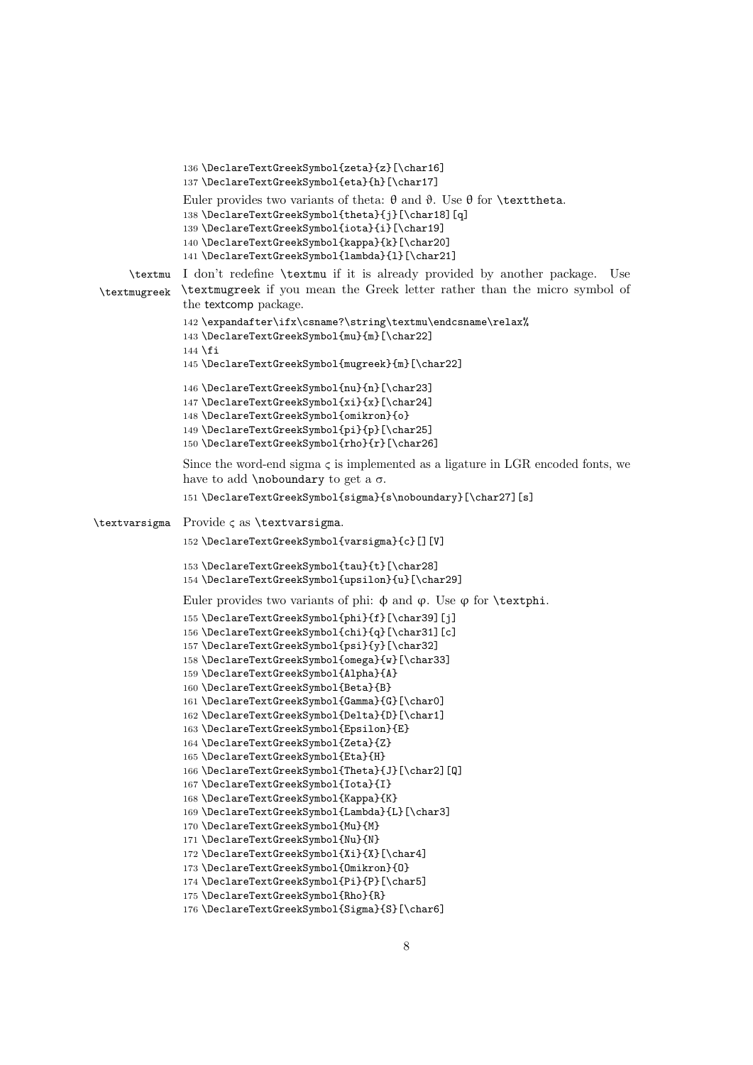```
136 \DeclareTextGreekSymbol{zeta}{z}[\char16]
               137 \DeclareTextGreekSymbol{eta}{h}[\char17]
               Euler provides two variants of theta: θ and θ. Use θ for \texttheta.
               138 \DeclareTextGreekSymbol{theta}{j}[\char18][q]
               139 \DeclareTextGreekSymbol{iota}{i}[\char19]
               140 \DeclareTextGreekSymbol{kappa}{k}[\char20]
               141 \DeclareTextGreekSymbol{lambda}{l}[\char21]
      \textmu
I don't redefine \textmu if it is already provided by another package. Use
 \textmugreek
               \textmugreek if you mean the Greek letter rather than the micro symbol of
               the textcomp package.
               142 \expandafter\ifx\csname?\string\textmu\endcsname\relax%
               143 \DeclareTextGreekSymbol{mu}{m}[\char22]
               144 \fi
               145 \DeclareTextGreekSymbol{mugreek}{m}[\char22]
               146 \DeclareTextGreekSymbol{nu}{n}[\char23]
               147 \DeclareTextGreekSymbol{xi}{x}[\char24]
               148 \DeclareTextGreekSymbol{omikron}{o}
               149 \DeclareTextGreekSymbol{pi}{p}[\char25]
               150 \DeclareTextGreekSymbol{rho}{r}[\char26]
               Since the word-end sigma \varsigma is implemented as a ligature in LGR encoded fonts, we
               have to add \n  <i>hoboundary</i> to get a <math>\sigma</math>.151 \DeclareTextGreekSymbol{sigma}{s\noboundary}[\char27][s]
\textvarsigma Provide ς as \textvarsigma.
               152 \DeclareTextGreekSymbol{varsigma}{c}[][V]
               153 \DeclareTextGreekSymbol{tau}{t}[\char28]
               154 \DeclareTextGreekSymbol{upsilon}{u}[\char29]
               Euler provides two variants of phi: φ and φ. Use φ for \text{textphi}.155 \DeclareTextGreekSymbol{phi}{f}[\char39][j]
               156 \DeclareTextGreekSymbol{chi}{q}[\char31][c]
               157 \DeclareTextGreekSymbol{psi}{y}[\char32]
               158 \DeclareTextGreekSymbol{omega}{w}[\char33]
               159 \DeclareTextGreekSymbol{Alpha}{A}
               160 \DeclareTextGreekSymbol{Beta}{B}
               161 \DeclareTextGreekSymbol{Gamma}{G}[\char0]
               162 \DeclareTextGreekSymbol{Delta}{D}[\char1]
               163 \DeclareTextGreekSymbol{Epsilon}{E}
               164 \DeclareTextGreekSymbol{Zeta}{Z}
               165 \DeclareTextGreekSymbol{Eta}{H}
               166 \DeclareTextGreekSymbol{Theta}{J}[\char2][Q]
               167 \DeclareTextGreekSymbol{Iota}{I}
               168 \DeclareTextGreekSymbol{Kappa}{K}
               169 \DeclareTextGreekSymbol{Lambda}{L}[\char3]
               170 \DeclareTextGreekSymbol{Mu}{M}
               171 \DeclareTextGreekSymbol{Nu}{N}
               172 \DeclareTextGreekSymbol{Xi}{X}[\char4]
               173 \DeclareTextGreekSymbol{Omikron}{O}
               174 \DeclareTextGreekSymbol{Pi}{P}[\char5]
               175 \DeclareTextGreekSymbol{Rho}{R}
               176 \DeclareTextGreekSymbol{Sigma}{S}[\char6]
```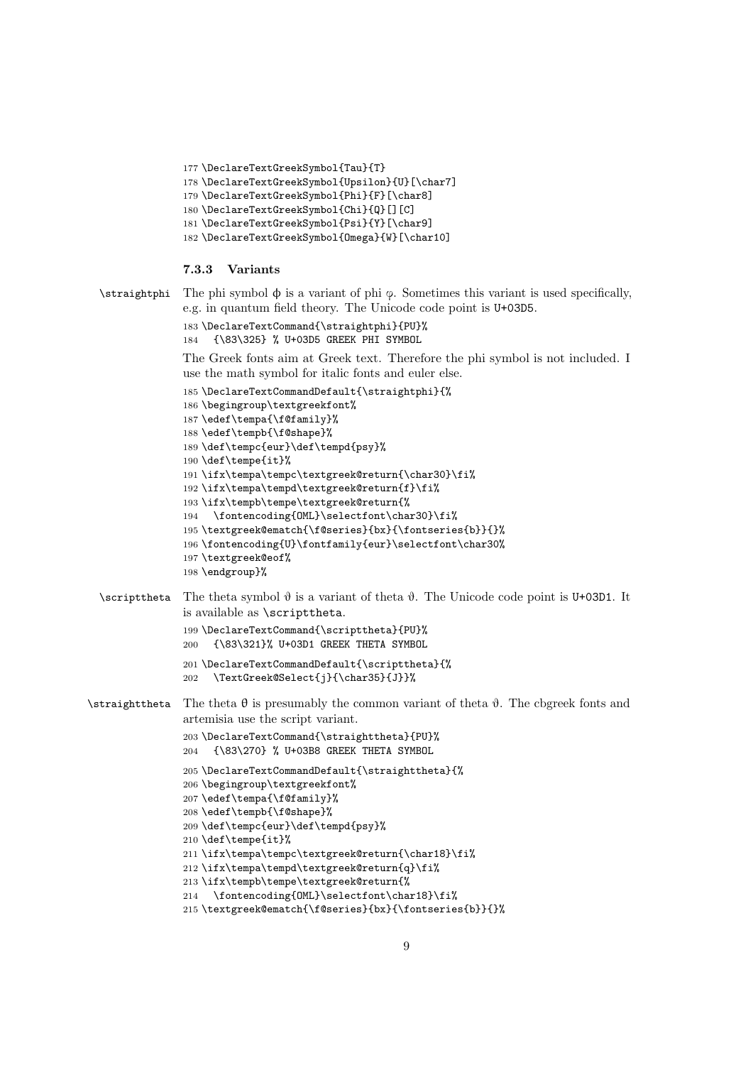```
177 \DeclareTextGreekSymbol{Tau}{T}
178 \DeclareTextGreekSymbol{Upsilon}{U}[\char7]
179 \DeclareTextGreekSymbol{Phi}{F}[\char8]
180 \DeclareTextGreekSymbol{Chi}{Q}[][C]
181 \DeclareTextGreekSymbol{Psi}{Y}[\char9]
182 \DeclareTextGreekSymbol{Omega}{W}[\char10]
```
#### <span id="page-8-10"></span><span id="page-8-9"></span><span id="page-8-2"></span><span id="page-8-0"></span>7.3.3 Variants

```
\strut\text{S} The phi symbol \phi is a variant of phi \phi. Sometimes this variant is used specifically,
               e.g. in quantum field theory. The Unicode code point is U+03D5.
```

```
183 \DeclareTextCommand{\straightphi}{PU}%
                184 {\83\325} % U+03D5 GREEK PHI SYMBOL
                The Greek fonts aim at Greek text. Therefore the phi symbol is not included. I
                use the math symbol for italic fonts and euler else.
                185 \DeclareTextCommandDefault{\straightphi}{%
                186 \begingroup\textgreekfont%
                187 \edef\tempa{\f@family}%
                188 \edef\tempb{\f@shape}%
                189 \def\tempc{eur}\def\tempd{psy}%
                190 \def\tempe{it}%
                191 \ifx\tempa\tempc\textgreek@return{\char30}\fi%
                192 \ifx\tempa\tempd\textgreek@return{f}\fi%
                193 \ifx\tempb\tempe\textgreek@return{%
                194 \fontencoding{OML}\selectfont\char30}\fi%
                195 \textgreek@ematch{\f@series}{bx}{\fontseries{b}}{}%
                196 \fontencoding{U}\fontfamily{eur}\selectfont\char30%
                197 \textgreek@eof%
                198 \endgroup}%
  \scriptstyle\text{\wedge} The theta symbol \vartheta is a variant of theta \vartheta. The Unicode code point is U+03D1. It
                is available as \scripttheta.
                199 \DeclareTextCommand{\scripttheta}{PU}%
                200 {\83\321}% U+03D1 GREEK THETA SYMBOL
                201 \DeclareTextCommandDefault{\scripttheta}{%
                202 \TextGreek@Select{j}{\char35}{J}}%
\strut\text{A} The theta θ is presumably the common variant of theta θ. The cbgreek fonts and
                artemisia use the script variant.
                203 \DeclareTextCommand{\straighttheta}{PU}%
                204 {\83\270} % U+03B8 GREEK THETA SYMBOL
                205 \DeclareTextCommandDefault{\straighttheta}{%
                206 \begingroup\textgreekfont%
                207 \edef\tempa{\f@family}%
                208 \edef\tempb{\f@shape}%
                209 \def\tempc{eur}\def\tempd{psy}%
                210 \def\tempe{it}%
                211\ifx\tempa\tempc\textgreek@return{\char18}\fi%
                212 \ifx\tempa\tempd\textgreek@return{q}\fi%
                213 \ifx\tempb\tempe\textgreek@return{%
                214 \fontencoding{OML}\selectfont\char18}\fi%
                215 \textgreek@ematch{\f@series}{bx}{\fontseries{b}}{}%
```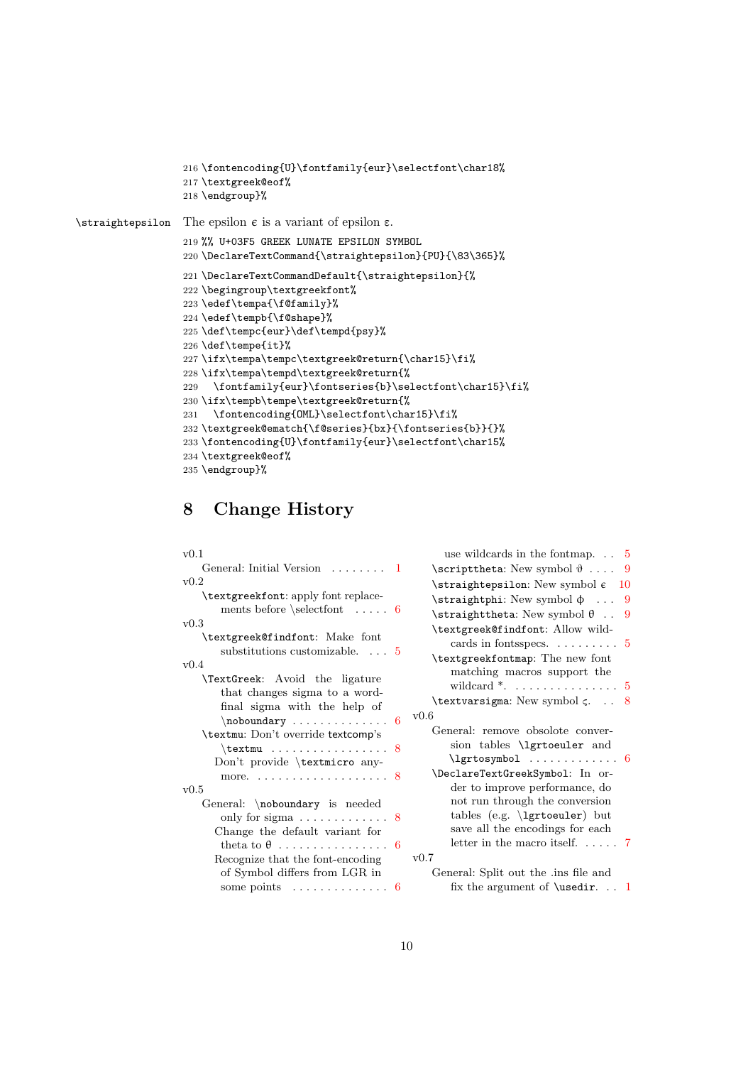```
216 \fontencoding{U}\fontfamily{eur}\selectfont\char18%
                  217 \textgreek@eof%
                  218 \endgroup}%
\sigma The epsilon \epsilon is a variant of epsilon \epsilon.
                  219 %% U+03F5 GREEK LUNATE EPSILON SYMBOL
                  220 \DeclareTextCommand{\straightepsilon}{PU}{\83\365}%
                  221 \DeclareTextCommandDefault{\straightepsilon}{%
                  222 \begingroup\textgreekfont%
                  223 \edef\tempa{\f@family}%
                  224 \edef\tempb{\f@shape}%
                  225 \def\tempc{eur}\def\tempd{psy}%
                  226 \def\tempe{it}%
                  227 \ifx\tempa\tempc\textgreek@return{\char15}\fi%
                  228 \ifx\tempa\tempd\textgreek@return{%
                  229 \fontfamily{eur}\fontseries{b}\selectfont\char15}\fi%
                  230 \ifx\tempb\tempe\textgreek@return{%
                  231 \fontencoding{OML}\selectfont\char15}\fi%
                  232 \textgreek@ematch{\f@series}{bx}{\fontseries{b}}{}%
                  233 \fontencoding{U}\fontfamily{eur}\selectfont\char15%
                  234 \textgreek@eof%
                  235 \endgroup}%
```
## <span id="page-9-14"></span><span id="page-9-13"></span><span id="page-9-12"></span><span id="page-9-11"></span><span id="page-9-8"></span><span id="page-9-7"></span><span id="page-9-4"></span><span id="page-9-0"></span>8 Change History

| v(0.1)                                              | use wildcards in the fontmap. $\ldots$ 5                                                                                                 |
|-----------------------------------------------------|------------------------------------------------------------------------------------------------------------------------------------------|
| General: Initial Version $\dots \dots 1$            | \scripttheta: New symbol $\vartheta$ 9                                                                                                   |
| v0.2                                                | $\frac{\text{straightepsilon}}{\text{cm}}$ New symbol $\epsilon$ 10                                                                      |
| \textgreekfont: apply font replace-                 | $\strut\text{straighth}$ : New symbol $\phi$ 9                                                                                           |
| ments before $\selectfont$ 6                        | $\strut\text{straighttheta: New symbol } \theta \quad 9$                                                                                 |
| v0.3                                                | \textgreek@findfont: Allow wild-                                                                                                         |
| \textgreek@findfont: Make font                      | cards in fonts<br>specs. $\dots \dots \dots$ 5                                                                                           |
| substitutions customizable. $\ldots$ 5<br>v0.4      | \textgreekfontmap: The new font                                                                                                          |
| TextGreek: Avoid the ligature                       | matching macros support the                                                                                                              |
| that changes sigma to a word-                       | wildcard $*$ . 5                                                                                                                         |
| final sigma with the help of                        | \textvarsigma: New symbol $\varsigma$ . 8                                                                                                |
|                                                     | v0.6                                                                                                                                     |
| \textmu: Don't override textcomp's                  | General: remove obsolote conver-                                                                                                         |
| $\text{textmu}$ 8                                   | sion tables <i>\lgrtoeuler</i> and                                                                                                       |
| Don't provide \textmicro any-                       | $\left\{\right.\right.$ $\left\{\right.$ $\left.\right.\right.$ $\left\{\right.\right.}$ $\left.\right.\right.$ $\left\{\right.\right.}$ |
| more. $\ldots \ldots \ldots \ldots \ldots \ldots 8$ | \DeclareTextGreekSymbol: In or-                                                                                                          |
| v0.5                                                | der to improve performance, do                                                                                                           |
| General: \noboundary is needed                      | not run through the conversion                                                                                                           |
| only for sigma $\dots \dots \dots \dots$ 8          | tables (e.g. \lgrtoeuler) but                                                                                                            |
| Change the default variant for                      | save all the encodings for each                                                                                                          |
|                                                     | letter in the macro itself $7$                                                                                                           |
| Recognize that the font-encoding                    | v0.7                                                                                                                                     |
| of Symbol differs from LGR in                       | General: Split out the .ins file and                                                                                                     |
| some points $\dots \dots \dots \dots \dots$ 6       | fix the argument of <b>\usedir.</b> $\ldots$ 1                                                                                           |
|                                                     |                                                                                                                                          |